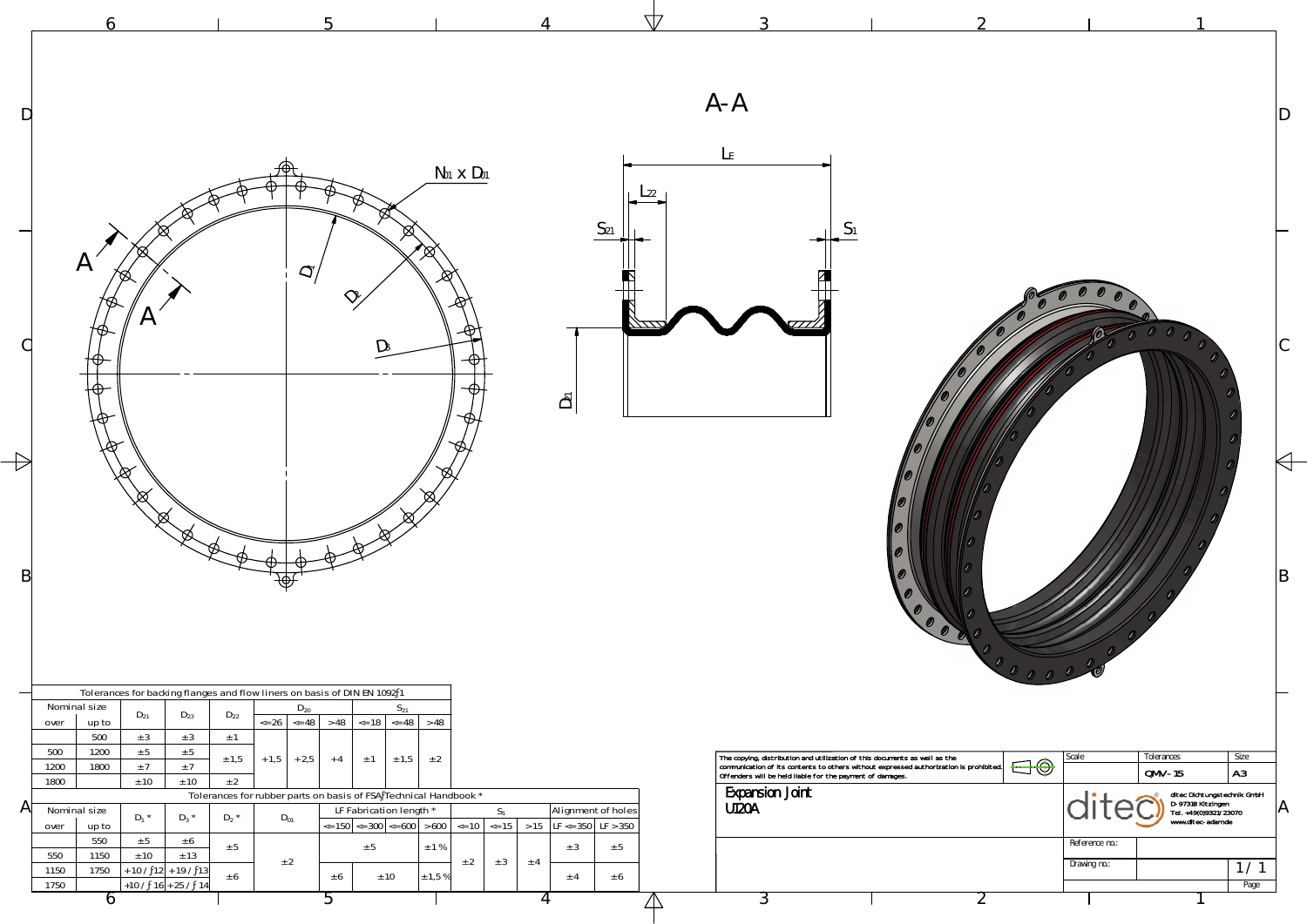| D | $A - A$<br>L <sub>E</sub><br>$N01$ $\times$ $D01$                                                                                                                                                                                                                                                                                                                                                                                                                                                                                                                                                                                                                                                                                                                                                                                                                                                                      |    |
|---|------------------------------------------------------------------------------------------------------------------------------------------------------------------------------------------------------------------------------------------------------------------------------------------------------------------------------------------------------------------------------------------------------------------------------------------------------------------------------------------------------------------------------------------------------------------------------------------------------------------------------------------------------------------------------------------------------------------------------------------------------------------------------------------------------------------------------------------------------------------------------------------------------------------------|----|
|   | S <sub>21</sub><br>$\mathcal{A}_{\mathcal{A}}$<br>$\tilde{\mathcal{O}}$<br>D3                                                                                                                                                                                                                                                                                                                                                                                                                                                                                                                                                                                                                                                                                                                                                                                                                                          |    |
|   | $\bar{D}$                                                                                                                                                                                                                                                                                                                                                                                                                                                                                                                                                                                                                                                                                                                                                                                                                                                                                                              |    |
| B |                                                                                                                                                                                                                                                                                                                                                                                                                                                                                                                                                                                                                                                                                                                                                                                                                                                                                                                        | ΙB |
|   | Tolerances for backing flanges and flow liners on basis of DIN EN 1092 1<br>Nominal size<br>$S_{21}$<br>$D_{20}$                                                                                                                                                                                                                                                                                                                                                                                                                                                                                                                                                                                                                                                                                                                                                                                                       |    |
|   | $D_{21}$<br>$D_{23}$<br>$D_{22}$<br>$\leq$ 26 $\leq$ 48<br>>48<br>$\leq$ 18 $\leq$ 48 $>$ 48<br>over<br>up to<br>500<br>$\pm$ 3<br>± 3<br>$\pm$ 1<br>500<br>1200<br>± 5<br>$\pm$ 5                                                                                                                                                                                                                                                                                                                                                                                                                                                                                                                                                                                                                                                                                                                                     |    |
| A | The copying, distribution and utilization of this documents as well as the<br>communication of its contents to others without expressed authorization is prohibited.<br>Offenders will be held liable for the payment of damages.<br>Scale<br>Tolerances<br>Size<br>$+1,5$ + 2,5<br>± 2<br>± 1,5<br>$\pm$ 1 $\pm$ 1,5<br>$+4$<br>$\bigoplus \bigoplus$<br>±7<br>1800<br>1200<br>±7<br> A3 <br>$QMV-15$<br>± 10<br>1800<br>± 10<br>± 2<br><b>Expansion Joint</b><br>ditec Dichtungstechnik GmbH<br>D-97318 Kitzingen<br>Tel. +49(0)9321/23070<br>www.ditec-adam.de<br>Tolerances for rubber parts on basis of FSA Technical Handbook *<br><b>U120A</b><br>LF Fabrication length *<br>Alignment of holes<br>Nominal size<br>$S_1$<br>$D_3$ *<br>$D_1$ *<br>$D_2$ *<br>$D_{01}$<br>$\vert$ <= 150 $\vert$ <= 300 $\vert$ <= 600 $\vert$ > 600 $\vert$ <= 10 $\vert$ <= 15<br>> 15   LF <= 350   LF > 350<br>up to<br>over |    |
|   | 550<br>± 5<br>± 6<br>Reference no.:<br>$\pm$ 1 %<br>± 5<br>± 5<br>± 5<br>± 3<br>± 13<br>550<br>1150<br>± 10<br>± 2<br>± 3<br>± 2<br>$±$ 4<br>Drawing no.:<br>1/1<br>1750<br>$+10/1$<br>$2 + 19 / 13$<br>1150<br>$\pm$ 1,5 %<br>± 10<br>± 6<br>± 6<br>± 4<br>± 6<br>$+10/16+25/14$<br>1750<br>Page                                                                                                                                                                                                                                                                                                                                                                                                                                                                                                                                                                                                                      |    |
|   | O<br>44                                                                                                                                                                                                                                                                                                                                                                                                                                                                                                                                                                                                                                                                                                                                                                                                                                                                                                                |    |



4

5

6

 $\mathbf{c}$ 

**ZN**